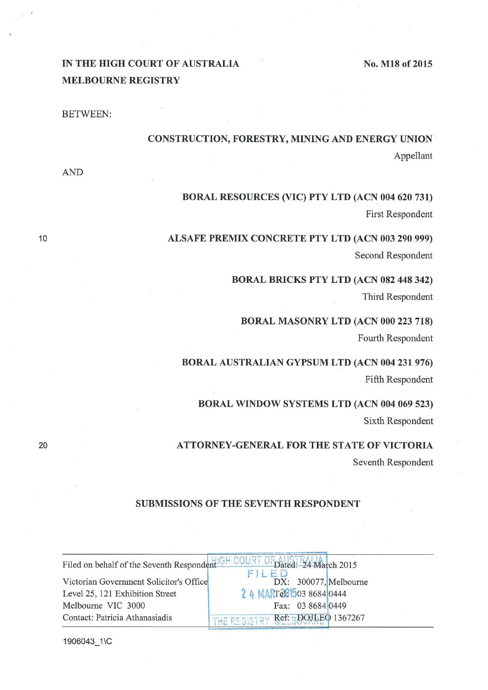No. M18 of 2015

# IN THE HIGH COURT OF AUSTRALIA MELBOURNE REGISTRY

BETWEEN:

# CONSTRUCTION, FORESTRY, MINING AND ENERGY UNION Appellant

AND

10

20

# BORAL RESOURCES (VIC) PTY LTD (ACN 004 620 731) First Respondent

ALSAFE PREMIX CONCRETE PTY LTD (ACN 003 290 999) Second Respondent

> BORAL BRICKS PTY LTD (ACN 082 448 342) Third Respondent

BORAL MASONRY LTD (ACN 000 223 718) Fourth Respondent

BORAL AUSTRALIAN GYPSUM LTD (ACN 004 231 976) Fifth Respondent

BORAL WINDOW SYSTEMS LTD (ACN 004 069 523) Sixth Respondent

ATTORNEY -GENERAL FOR THE STATE OF VICTORIA Seventh Respondent

#### SUBMISSIONS OF THE SEVENTH RESPONDENT

|                                         | Filed on behalf of the Seventh Respondent GH COURT OF AUSTRALIA 2015 |
|-----------------------------------------|----------------------------------------------------------------------|
| Victorian Government Solicitor's Office | F<br>DX: 300077, Melbourne                                           |
| Level 25, 121 Exhibition Street         | 2 4 MART201503 8684 0444                                             |
| Melbourne VIC 3000                      | Fax: 03 8684 0449                                                    |
| Contact: Patricia Athanasiadis          | THE REGISTRY Ref: BDOJLEQ 1367267                                    |

1906043 1\C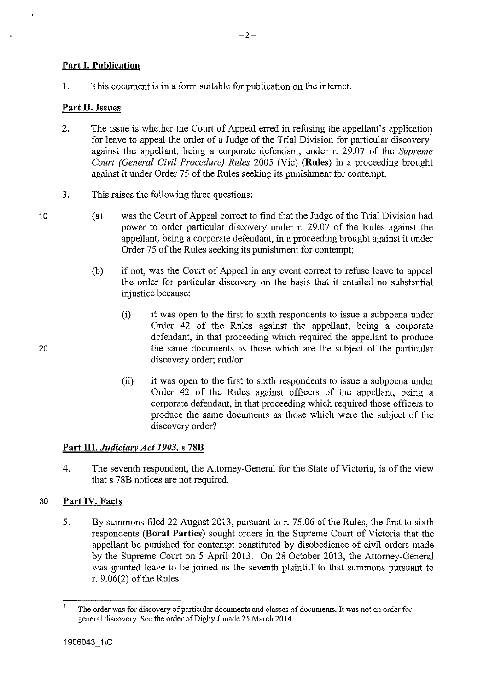# Part I. Publication

1. This document is in a form suitable for publication on the internet.

### Part II. Issues

- 2. The issue is whether the Court of Appeal erred in refusing the appellant's application for leave to appeal the order of a Judge of the Trial Division for particular discovery<sup>1</sup> against the appellant, being a corporate defendant, under r. 29.07 of the *Supreme Court (General Civil Procedure) Rules* 2005 (Vic) (Rules) in a proceeding brought against it under Order 75 of the Rules seeking its punishment for contempt.
- 3. This raises the following three questions:
	- (a) was the Court of Appeal correct to find that the Judge of the Trial Division had power to order particular discovery under r. 29.07 of the Rules against the appellant, being a corporate defendant, in a proceeding brought against it under Order 75 of the Rules seeking its punishment for contempt;
		- (b) if not, was the Court of Appeal in any event correct to refuse leave to appeal the order for particular discovery on the basis that it entailed no substantial injustice because:
			- (i) it was open to the first to sixth respondents to issue a subpoena under Order 42 of the Rules against the appellant, being a corporate defendant, in that proceeding which required the appellant to produce the same documents as those which are the subject of the particular discovery order; and/or
			- (ii) it was open to the first to sixth respondents to issue a subpoena under Order 42 of the Rules against officers of the appellant, being a corporate defendant, in that proceeding which required those officers to produce the same documents as those which were the subject of the discovery order?

# Part III. *Judiciary Act 1903,* s 78B

4. The seventh respondent, the Attorney-General for the State of Victoria, is of the view that s 78B notices are not required.

# 30 Part IV. Facts

5. By summons filed 22 August 2013, pursuant tor. 75.06 of the Rules, the first to sixth respondents (Bora! Parties) sought orders in the Supreme Court of Victoria that the appellant be punished for contempt constituted by disobedience of civil orders made by the Supreme Court on 5 April 2013. On 28 October 2013, the Attorney-General was granted leave to be joined as the seventh plaintiff to that summons pursuant to r. 9.06(2) of the Rules.

10

 $\mathbf{I}$ The order was for discovery of particular documents and classes of documents. It was not an order for general discovery. See the order of Digby J made 25 March 2014.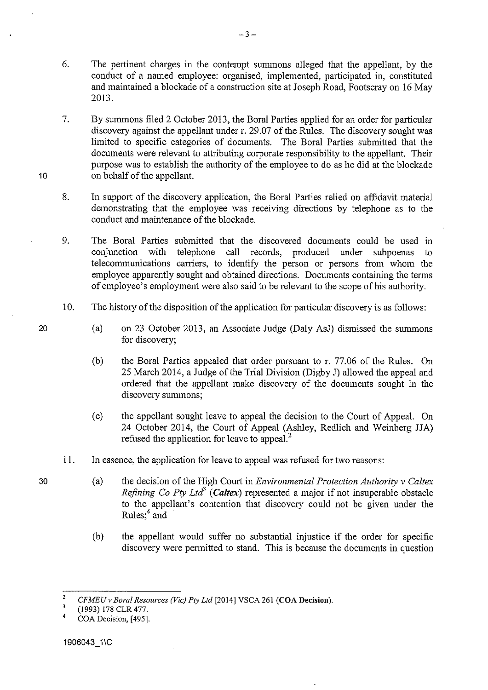- 6. The pertinent charges in the contempt summons alleged that the appellant, by the conduct of a named employee: organised, implemented, participated in, constituted and maintained a blockade of a construction site at Joseph Road, Footscray on 16 May 2013.
- 7. By summons filed 2 October 2013, the Bora! Parties applied for an order for particular discovery against the appellant under r. 29.07 of the Rules. The discovery sought was limited to specific categories of documents. The Bora! Parties submitted that the documents were relevant to attributing corporate responsibility to the appellant. Their purpose was to establish the authority of the employee to do as he did at the blockade on behalf of the appellant.
- 8. In support of the discovery application, the Bora! Parties relied on affidavit material demonstrating that the employee was receiving directions by telephone as to the conduct and maintenance of the blockade.
- 9. The Bora! Parties submitted that the discovered documents could be used in conjunction with telephone call records, produced under subpoenas to telecommunications carriers, to identify the person or persons from whom the employee apparently sought and obtained directions. Documents containing the terms of employee's employment were also said to be relevant to the scope of his authority.
- 10. The history of the disposition of the application for particular discovery is as follows:
	- (a) on 23 October 2013, an Associate Judge (Daly AsJ) dismissed the summons for discovery;
	- (b) the Bora! Parties appealed that order pursuant to r. 77.06 of the Rules. On 25 March 2014, a Judge of the Trial Division (Digby J) allowed the appeal and ordered that the appellant make discovery of the documents sought in the discovery summons;
	- (c) the appellant sought leave to appeal the decision to the Court of Appeal. On 24 October 2014, the Court of Appeal (Ashley, Redlich and Weinberg JJA) refused the application for leave to appeal. 2
- 11. In essence, the application for leave to appeal was refused for two reasons:
	- (a) the decision of the High Court in *Environmental Protection Authority v Caltex Refining Co Pty Ltd<sup>3</sup> (Caltex)* represented a major if not insuperable obstacle to the appellant's contention that discovery could not be given under the Rules;<sup>4</sup> and
		- (b) the appellant would suffer no substantial injustice if the order for specific discovery were permitted to stand. This is because the documents in question

30

10

<sup>2</sup>  *CFMEUv Bora/ Resources (Vic) Pty Ltd* [2014] VSCA 261 (COA Decision).

 $\overline{\mathbf{3}}$ (1993) 178 CLR 477.

<sup>4</sup>  COA Decision, [495].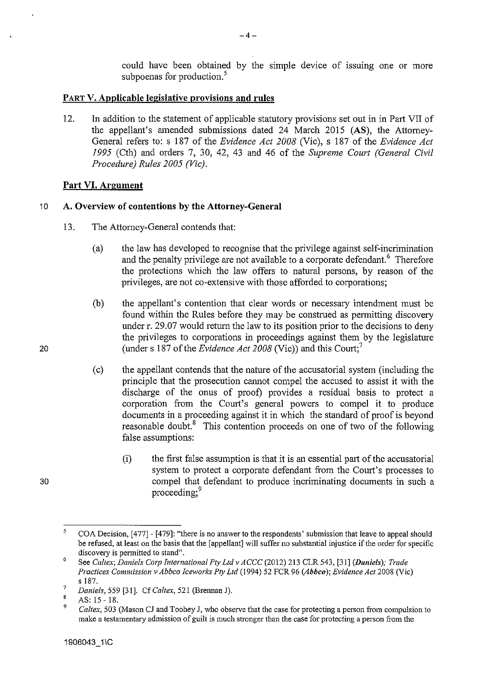could have been obtained by the simple device of issuing one or more subpoenas for production.<sup>5</sup>

#### **PART V. Applicable legislative provisions and rules**

12. In addition to the statement of applicable statutory provisions set out in in Part VII of the appellant's amended submissions dated 24 March 2015 (AS), the Attorney-General refers to: s 187 of the *Evidence Act 2008* (Vic), s 187 of the *Evidence Act 1995* (Cth) and orders 7, 30, 42, 43 and 46 of the *Supreme Court (General Civil Procedure) Rules 2005 (Vic).* 

# **Part VI. Argument**

### <sup>1</sup>o **A. Overview of contentions by the Attorney-General**

- 13. The Attorney-General contends that:
	- (a) the law has developed to recognise that the privilege against self-incrimination and the penalty privilege are not available to a corporate defendant.<sup>6</sup> Therefore the protections which the law offers to natural persons, by reason of the privileges, are not co-extensive with those afforded to corporations;
	- (b) the appellant's contention that clear words or necessary intendment must be found within the Rules before they may be construed as permitting discovery under r. 29.07 would return the law to its position prior to the decisions to deny the privileges to corporations in proceedings against them by the legislature (under s 187 of the *Evidence Act 2008* (Vic)) and this Court;<sup>7</sup>
	- (c) the appellant contends that the nature of the accusatorial system (including the principle that the prosecution carmot compel the accused to assist it with the discharge of the onus of proof) provides a residual basis to protect a corporation from the Court's general powers to compel it to produce documents in a proceeding against it in which the standard of proof is beyond reasonable doubt.<sup>8</sup> This contention proceeds on one of two of the following false assumptions:
		- (i) the first false assumption is that it is an essential part of the accusatorial system to protect a corporate defendant from the Court's processes to compel that defendant to produce incriminating documents in such a proceeding;<sup>9</sup>

20

<sup>5</sup>  COA Decision, [477]- [479]: "there is no answer to the respondents' submission that leave to appeal should be refused, at least on the basis that the [appellant] will suffer no substantial injustice if the order for specific **discovery is permitted to stand".** 

<sup>6</sup>  See *Caltex; Daniels C01p International Pty Ltd v ACCC* (2012) 213 CLR 543, [31] *(Daniels); Trade Practices Commission v Abbco Iceworks Pty Ltd* (1994) 52 FCR 96 *(Abbco); Evidence Act* 2008 (Vic) s 187.

<sup>7</sup>  *Daniels,* 559 [31]. *CfCaltex,* 521 (BrennanJ).

<sup>8</sup>  AS: 15- 18.

<sup>9</sup>  *Caltex,* 503 (Mason CJ and Toohey J, who observe that the case for protecting a person from compulsion to make a testamentary admission of guilt is much stronger than the case for protecting a person from the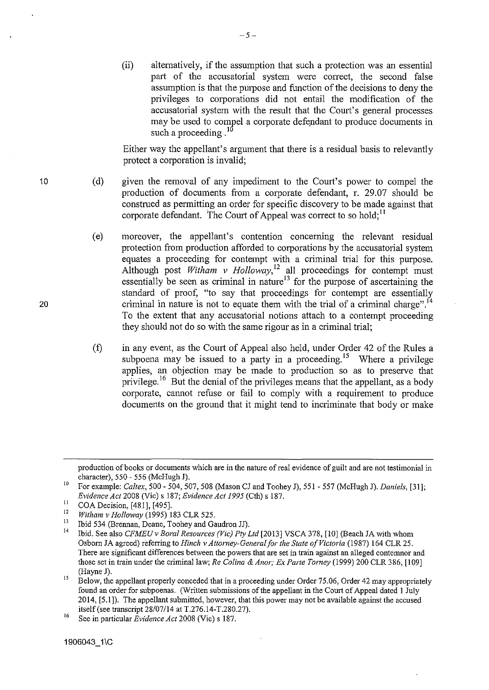(ii) alternatively, if the assumption that such a protection was au essential part of the accusatorial system were correct, the second false assumption is that the purpose and function of the decisions to deny the privileges to corporations did not entail the modification of the accusatorial system with the result that the Court's general processes may be used to compel a corporate defendant to produce documents in such a proceeding  $^{10}$ 

Either way the appellant's argument that there is a residual basis to relevantly protect a corporation is invalid;

(d) given the removal of any impediment to the Court's power to compel the production of documents from a corporate defendant, r. 29.07 should be construed as permitting an order for specific discovery to be made against that corporate defendant. The Court of Appeal was correct to so hold;  $11$ 

 $-5-$ 

- (e) moreover, the appellant's contention concerning the relevant residual protection from production afforded to corporations by the accusatorial system equates a proceeding for contempt with a criminal trial for this purpose. Although post *Witham v Holloway*,<sup>12</sup> all proceedings for contempt must essentially be seen as criminal in nature<sup>13</sup> for the purpose of ascertaining the standard of proof, "to say that proceedings for contempt are essentially criminal in nature is not to equate them with the trial of a criminal charge".<sup>14</sup> To the extent that any accusatorial notions attach to a contempt proceeding they should not do so with the same rigour as in a criminal trial;
- (f) in any event, as the Court of Appeal also held, under Order 42 of the Rules a subpoena may be issued to a party in a proceeding.<sup>15</sup> Where a privilege applies, an objection may be made to production so as to preserve that privilege.<sup>16</sup> But the denial of the privileges means that the appellant, as a body corporate, cannot refuse or fail to comply with a requirement to produce documents on the ground that it might tend to incriminate that body or make

production of books or documents which are in the nature of real evidence of guilt and are not testimonial in character), 550 - 556 (McHugh J).

<sup>10</sup> For example: *Caltex,* 500- 504, 507, 508 (Mason CJ and Toohey J), 551- 557 (McHugh J). *Daniels,* [31]; *Evidence Act* 2008 (Vic) s 187; *Evidence Act 1995* (Cth) s 187.

 $11 \quad \text{COA Decision, [481], [495].}$ 

<sup>&</sup>lt;sup>12</sup> Witham v Holloway (1995) 183 CLR 525.<br><sup>13</sup> Thid 524 (Danmar Degree Technical Gi

<sup>&</sup>lt;sup>13</sup> Ibid 534 (Brennan, Deane, Toohey and Gaudron JJ).<br><sup>14</sup> Ibid. See also *CFMEU v Boral Resources (Vic) Pty Ltd* [2013] VSCA 378, [10] (Beach JA with whom Osborn JA agreed) referring to *Hinch v Attorney-Genera/for the State of Victoria* (1987) 164 CLR 25. There are significant differences between the powers that are set in train against an alleged contemnor and those set in train under the criminal law; *Re Colina* & *Anor; Ex Parte Torney* (!999) 200 CLR 386, [109] (Hayne J).

<sup>&</sup>lt;sup>15</sup> Below, the appellant properly conceded that in a proceeding under Order 75.06, Order 42 may appropriately found an order for subpoenas. (Written submissions of the appellant in the Court of Appeal dated I July 2014, [5.1]). The appellant submitted, however, that this power may not be available against the accused itself (see transcript  $28/07/14$  at T.276.14-T.280.27).

<sup>16</sup> See in particular *Evidence Act* 2008 (Vic) s 187.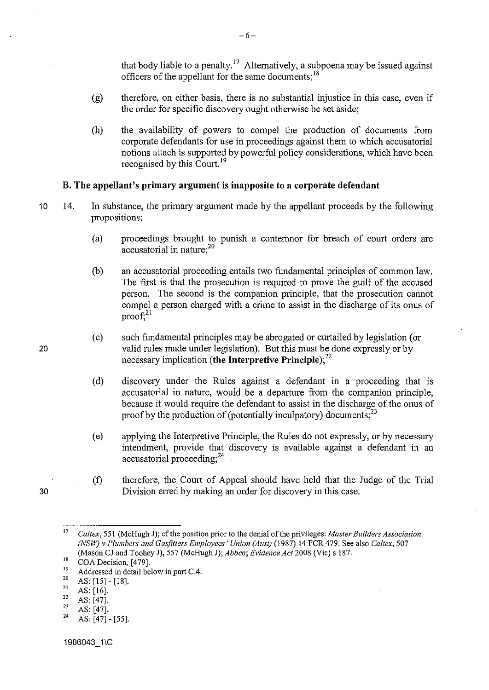that body liable to a penalty.<sup>17</sup> Alternatively, a subpoena may be issued against officers of the appellant for the same documents:<sup>18</sup>

- (g) therefore, on either basis, there is no substantial injustice in this case, even if the order for specific discovery ought otherwise be set aside;
- (h) the availability of powers to compel the production of documents from corporate defendants for use in proceedings against them to which accusatorial notions attach is supported by powerful policy considerations, which have been recognised by this Court. <sup>19</sup>

#### **B. The appellant's primary argument is inapposite to a corporate defendant**

- 10 14. In substance, the primary argument made by the appellant proceeds by the following propositions:
	- (a) proceedings brought to punish a contenmor for breach of court orders are accusatorial in nature;<sup>20</sup>
	- (b) an accusatorial proceeding entails two fundamental principles of common law. The first is that the prosecution is required to prove the guilt of the accused person. The second is the companion principle, that the prosecution cannot compel a person charged with a crime to assist in the discharge of its onus of  $proo f<sub>21</sub>$
	- (c) such fundamental principles may be abrogated or curtailed by legislation (or valid rules made under legislation). But this must be done expressly or by necessary implication **(the Interpretive Principle);<sup>22</sup>**
	- (d) discovery under the Rules against a defendant in a proceeding that is accusatorial in nature, would be a departure from the companion principle, because it would require the defendant to assist in the discharge of the onus of proof by the production of (potentially inculpatory) documents; $^{23}$
	- (e) applying the Interpretive Principle, the Rules do not expressly, or by necessary intendment, provide that discovery is available against a defendant in an accusatorial proceeding; $^{24}$
	- (f) therefore, the Court of Appeal should have held that the Judge of the Trial Division erred by making an order for discovery in this case.

- $\frac{21}{22}$  AS: [16].
- 
- $\begin{array}{c} 22 \ \text{23} \ \text{AS: [47].} \\ 24 \ \text{AS: [47].} \end{array}$
- AS: [47] [55].

20

<sup>17</sup>*Caltex,* 55! (McHugh J); cfthe position prior to the denial of the privileges: *Master Builders Association (NSW) v Plumbers and Gasjitters Employees' Union (Aust)* (1987) 14 FCR 479. See also *Caltex,* 507 (Mason CJ and Toohey J), 557 (McHugh J); *Abbco; Evidence Act* 2008 (Vic) s 187.

<sup>&</sup>lt;sup>18</sup> COA Decision, [479].<br>
<sup>19</sup> Addressed in detail below in part C.4.<br>
<sup>20</sup> AS: [15] - [18].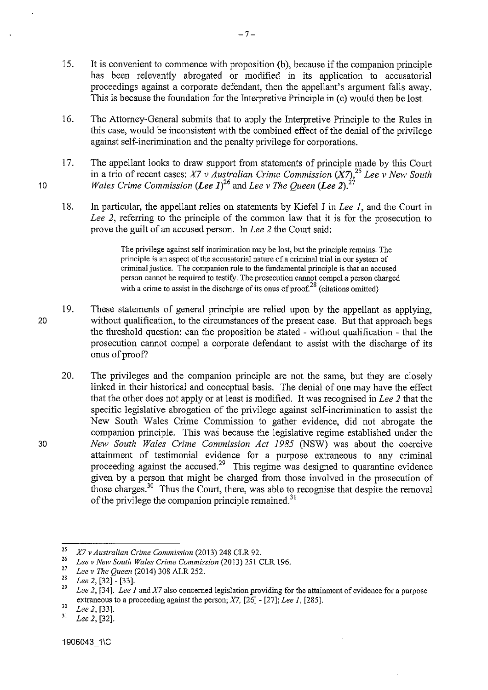- 15. It is convenient to commence with proposition (b), because if the companion principle has been relevantly abrogated or modified in its application to accusatorial proceedings against a corporate defendant, then the appellant's argument falls away. This is because the foundation for the Interpretive Principle in (c) would then be lost.
- 16. The Attorney-General submits that to apply the Interpretive Principle to the Rules in this case, would be inconsistent with the combined effect of the denial of the privilege against self-incrimination and the penalty privilege for corporations.
- 17. The appellant looks to draw support from statements of principle made by this Court in a trio of recent cases: *X7 v Australian Crime Commission*  $(X7)$ , <sup>25</sup> Lee v New South *Wales Crime Commission (Lee 1)*<sup>26</sup> and *Lee v The Queen (Lee 2)*.<sup>27</sup>
- 18. In particular, the appellant relies on statements by Kiefel J in *Lee I,* and tbe Court in *Lee 2, referring to the principle of the common law that it is for the prosecution to* prove the guilt of an accused person. In *Lee 2* the Court said:

The privilege against self-incrimination may be lost, but the principle remains. The principle is an aspect of the accusatorial nature of a criminal trial in our system of criminal justice. The companion rule to the fundamental principle is that an accused person cannot be required to testify. The prosecution cannot compel a person charged with a crime to assist in the discharge of its onus of proof.<sup>28</sup> (citations omitted)

- 19. These statements of general principle are relied upon by the appellant as applying, without qualification, to the circumstances of the present case. But that approach begs the threshold question: can the proposition be stated - without qualification - that the prosecution cannot compel a corporate defendant to assist with the discharge of its onus of proof?
	- 20. The privileges and the companion principle are not the same, but they are closely linked in their historical and conceptual basis. The denial of one may have the effect that the other does not apply or at least is modified. It was recognised in *Lee 2* that the specific legislative abrogation of the privilege against self-incrimination to assist the New South Wales Crime Commission to gather evidence, did not abrogate the companion principle. This was because the legislative regime established under the *New South Wales Crime Commission Act 1985* (NSW) was about the coercive attainment of testimonial evidence for a purpose extraneous to any criminal proceeding against the accused.<sup>29</sup> This regime was designed to quarantine evidence given by a person that might be charged from those involved in the prosecution of those charges.<sup>30</sup> Thus the Court, there, was able to recognise that despite the removal of the privilege the companion principle remained.<sup>31</sup>

10

<sup>&</sup>lt;sup>25</sup> *X7 v Australian Crime Commission* (2013) 248 CLR 92.<br><sup>26</sup> *Lee v New South Wales Crime Commission* (2013) 251 CLR 196.<br><sup>27</sup> *Lee v The Quaer (2014)* 208. AJ R 252.

<sup>&</sup>lt;sup>27</sup> Lee *v* The Queen (2014) 308 ALR 252.

<sup>28</sup>*Lee 2,* [32] - [33].

<sup>29</sup>*Lee 2,* [34]. *Lee I* and *X7* also concerned legislation providing for the attaimuent *of* evidence for a purpose extraneous to a proceeding against the person; *X7*, [26] - [27]; *Lee 1*, [285].<br><sup>30</sup> *Lee 2*, [33].

<sup>31</sup>*Lee 2,* [32].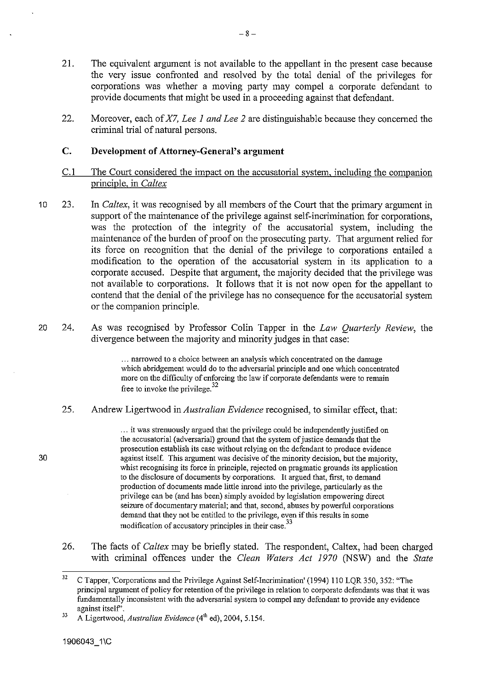- 21. The equivalent argument is not available to the appellant in the present case because the very issue confronted and resolved by the total denial of the privileges for corporations was whether a moving party may compel a corporate defendant to provide documents that might be used in a proceeding against that defendant.
- 22. Moreover, each of *X7, Lee 1 and Lee 2* are distinguishable because they concerned the criminal trial of natural persons.

#### **C. Development of Attorney-General's argument**

- C.l The Court considered the impact on the accusatorial system, including the companion principle, in *Caltex*
- 10 23. In *Caltex*, it was recognised by all members of the Court that the primary argument in support of the maintenance of the privilege against self-incrimination for corporations, was the protection of the integrity of the accusatorial system, including the maintenance of the burden of proof on the prosecuting party. That argument relied for its force on recognition that the denial of the privilege to corporations entailed a modification to the operation of the accusatorial system in its application to a corporate accused. Despite that argument, the majority decided that the privilege was not available to corporations. It follows that it is not now open for the appellant to contend that the denial of the privilege has no consequence for the accusatorial system or the companion principle.
- 20 24. As was recognised by Professor Colin Tapper in the *Law Quarterly Review,* the divergence between the majority and minority judges in that case:

... narrowed to a choice between an analysis which concentrated on the damage which abridgement would do to the adversarial principle and one which concentrated more on the difficulty of enforcing the law if corporate defendants were to remain free to invoke the privilege.<sup>32</sup>

25. Andrew Ligertwood in *Australian Evidence* recognised, to similar effect, that:

> ... it was strenuously argued that the privilege could be independently justified on the accusatorial (adversarial) ground that the system of justice demands that the prosecution establish its case without relying on the defendant to produce evidence against itself. This argument was decisive of the minority decision, but the majority, whist recognising its force in principle, rejected on pragmatic grounds its application to the disclosure of documents by corporations. It argued that, first, to demand production of documents made little inroad into the privilege, particularly as the privilege can be (and has been) simply avoided by legislation empowering direct seizure of documentary material; and that, second, abuses by powerful corporations demand that they not be entitled to the privilege, even if this results in some modification of accusatory principles in their case.<sup>33</sup>

26. The facts of *Caltex* may be briefly stated. The respondent, Caltex, had been charged with criminal offences under the *Clean Waters Act 1970* (NSW) and the *State* 

<sup>&</sup>lt;sup>32</sup> C Tapper, 'Corporations and the Privilege Against Self-Incrimination' (1994) 110 LOR 350, 352: "The principal argument of policy for retention of the privilege in relation to corporate defendants was that it was fundamentally inconsistent with the adversarial system to compel any defendant to provide any evidence **against itself'.** 

<sup>&</sup>lt;sup>33</sup> A Ligertwood, *Australian Evidence* (4<sup>th</sup> ed), 2004, 5.154.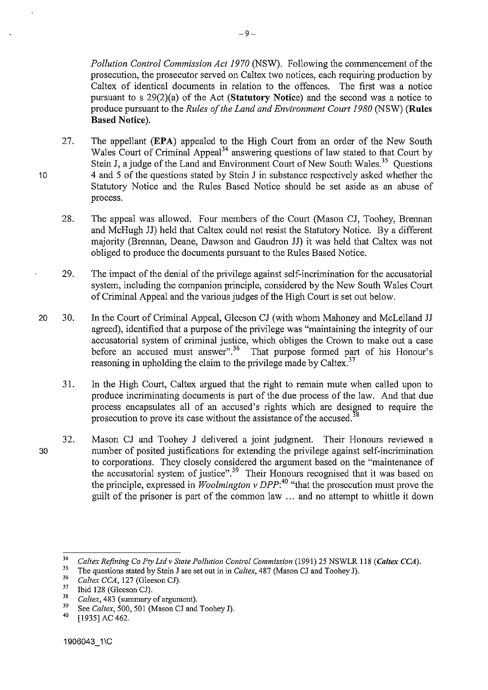*Pollution Control Commission Act 1970* (NSW). Following the commencement of the prosecution, the prosecutor served on Caltex two notices, each requiring production by Caltex of identical documents in relation to the offences. The first was a notice pursuant to s 29(2)(a) of the Act **(Statutory Notice)** and the second was a notice to produce pursuant to the *Rules of the Land and Environment Court 1980* (NSW) **(Rules Based Notice).** 

- 27. The appellant **(EPA)** appealed to the High Court from an order of the New South Wales Court of Criminal Appeal<sup>34</sup> answering questions of law stated to that Court by Stein J, a judge of the Land and Environment Court of New South Wales.<sup>35</sup> Ouestions 4 and 5 of the questions stated by Stein J in substance respectively asked whether the Statutory Notice and the Rules Based Notice should be set aside as an abuse of process.
- 28. The appeal was allowed. Four members of the Court (Mason CJ, Toohey, Brennan and McHugh JJ) held that Caltex could not resist the Statutory Notice. By a different majority (Brennan, Deane, Dawson and Gaudron JJ) it was held that Caltex was not obliged to produce the documents pursuant to the Rules Based Notice.
- 29. The impact of the denial of the privilege against self-incrimination for the accusatorial system, including the companion principle, considered by the New South Wales Court of Criminal Appeal and the various judges of the High Court is set out below.
- 20 30. In the Court of Criminal Appeal, Gleeson CJ (with whom Mahoney and McLelland JJ agreed), identified that a purpose of the privilege was "maintaining the integrity of our accusatorial system of criminal justice, which obliges the Crown to make out a case before an accused must answer".<sup>36</sup> That purpose formed part of his Honour's reasoning in upholding the claim to the privilege made by Caltex.<sup>37</sup>
	- 31. In the High Court, Caltex argued that the right to remain mute when called upon to produce incriminating documents is part of the due process of the law. And that due process encapsulates all of an accused's rights which are designed to require the prosecution to prove its case without the assistance of the accused.<sup>38</sup>
	- 32. Mason CJ and Toohey J delivered a joint judgment. Their Honours reviewed a number of posited justifications for extending the privilege against self-incrimination to corporations. They closely considered the argument based on the "maintenance of the accusatorial system of justice".<sup>39</sup> Their Honours recognised that it was based on the principle, expressed in *Woolmington v DPP:<sup>40</sup>*"that the prosecution must prove the guilt of the prisoner is part of the common law ... and no attempt to whittle it down

30

<sup>&</sup>lt;sup>34</sup> Caltex Refining Co Pty Ltd v State Pollution Control Commission (1991) 25 NSWLR 118 (Caltex CCA).

<sup>&</sup>lt;sup>35</sup> The questions stated by Stein J are set out in in *Caltex*, 487 (Mason CJ and Toohey J).<br><sup>36</sup> Caltex CC4, <sup>127</sup> (Glesson CD)

 $^{36}$  *Caltex CCA*, 127 (Gleeson CJ).<br> $^{37}$  Thid 128 (Gleeson CD)

 $\frac{37}{38}$  Ibid 128 (Gleeson CJ).

<sup>38</sup>*Caltex,* 483 (sunnnary of argument).

<sup>&</sup>lt;sup>39</sup> See *Caltex*, 500, 501 (Mason CJ and Toohey J).

<sup>[1935]</sup> AC 462.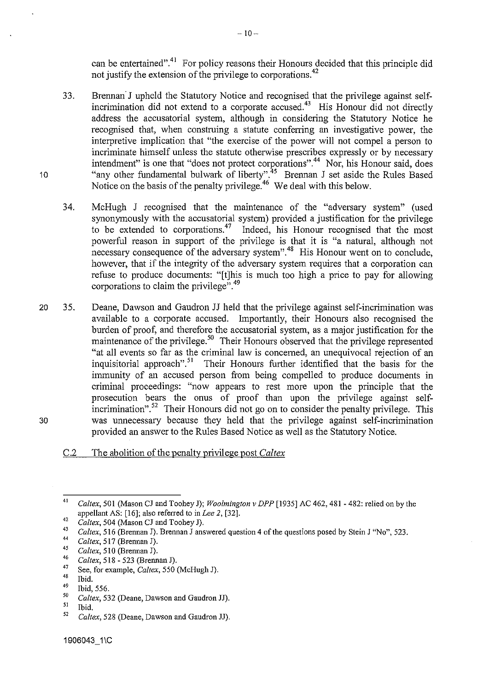can be entertained".<sup>41</sup> For policy reasons their Honours decided that this principle did not justify the extension of the privilege to corporations.<sup>42</sup>

- 33. Brennan<sup>:</sup> J upheld the Statutory Notice and recognised that the privilege against selfincrimination did not extend to a corporate accused.<sup>43</sup> His Honour did not directly address the accusatorial system, although in considering the Statutory Notice he recognised that, when construing a statute conferring an investigative power, the interpretive implication that "the exercise of the power will not compel a person to incriminate himself unless the statute otherwise prescribes expressly or by necessary intendment" is one that "does not protect corporations".<sup>44</sup> Nor, his Honour said, does "any other fundamental bulwark of liberty".<sup>45</sup> Brennan J set aside the Rules Based Notice on the basis of the penalty privilege.<sup>46</sup> We deal with this below.
- 34. McHugh J recognised that the maintenance of the "adversary system" (used synonymously with the accusatorial system) provided a justification for the privilege to be extended to corporations.47 Indeed, his Honour recognised that the most powerful reason in support of the privilege is that it is "a natural, although not necessary consequence of the adversary system".<sup>48</sup> His Honour went on to conclude, however, that if the integrity of the adversary system requires that a corporation can refuse to produce documents: "[t]his is much too high a price to pay for allowing corporations to claim the privilege".<sup>49</sup>
- 20 30 35. Deane, Dawson and Gaudron JJ held that the privilege against self-incrimination was available to a corporate accused. Importantly, their Honours also recognised the burden of proof, and therefore the accusatorial system, as a major justification for the maintenance of the privilege.<sup>50</sup> Their Honours observed that the privilege represented "at all events so far as the criminal law is concerned, an unequivocal rejection of an inquisitorial approach".<sup>51</sup> Their Honours further identified that the basis for the immunity of an accused person from being compelled to produce documents in criminal proceedings: "now appears to rest more upon the principle that the prosecution bears the onus of proof than upon the privilege against selfincrimination".<sup>52</sup> Their Honours did not go on to consider the penalty privilege. This was unnecessary because they held that the privilege against self-incrimination provided an answer to the Rules Based Notice as well as the Statutory Notice.

#### C.2 The abolition of the penalty privilege post *Caltex*

<sup>41</sup>  *Caltex,* 501 (Mason CJ and Toohey J); *Woolmington v DPP* [1935] AC 462, 481 - 482: relied on by the appellant AS: [16]; also referred to in *Lee 2,* [32).

<sup>42</sup>  *Caltex,* 504 (Mason CJ and Toohey J).

<sup>43</sup>  *Caltex,* 516 (Brennan J). Brennan J answered question 4 of the questions posed by Stein J "No", 523.

<sup>44</sup>  *Caltex,* 517 (Brennan J).

<sup>45</sup>  *Caltex,* 510 (Brennan J).

<sup>46</sup>  *Caltex,* 518 - 523 (Brennan J).

<sup>&</sup>lt;sup>47</sup> See, for example, *Caltex*, 550 (McHugh J).

 $\frac{48}{49}$  Ibid.

<sup>49</sup>**Ibid, 556.** 

<sup>50</sup>  *Caltex,* 532 (Deane, Dawson and Gaudron JJ).

<sup>51</sup>  Ibid.

<sup>52</sup>  *Ca/tex,* 528 (Deane, Dawson and Gaudron JJ).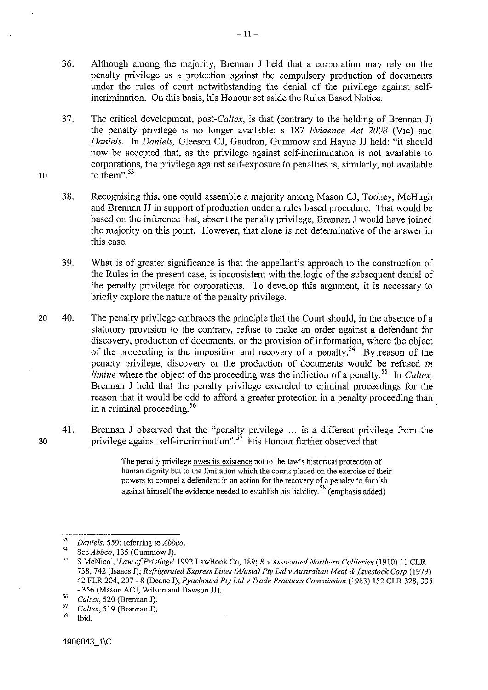- 36. Although among the majority, Brennan J held that a corporation may rely on the penalty privilege as a protection against the compulsory production of documents under the rules of court notwithstanding the denial of the privilege against selfincrimination. On this basis, his Honour set aside the Rules Based Notice.
- 37. The critical development, *post-Caltex,* is that (contrary to the holding of Brennan J) the penalty privilege is no longer available: s 187 *Evidence Act 2008* (Vic) and *Daniels.* In *Daniels,* Gleeson CJ, Gaudron, Gummow and Hayne JJ held: "it should now be accepted that, as the privilege against self-incrimination is not available to corporations, the privilege against self-exposure to penalties is, similarly, not available to them". $53$
- 38. Recognising this, one could assemble a majority among Mason CJ, Toohey, McHugh and Brennan JJ in support of production under a rules based procedure. That would be based on the inference that, absent the penalty privilege, Brennan J would have joined the majority on this point. However, that alone is not detenninative of the answer in this case.
- 3 9. What is of greater significance is that the appellant's approach to the constmction of the Rules in the present case, is inconsistent with the. logic of the subsequent denial of the penalty privilege for corporations. To develop this argument, it is necessary to briefly explore the nature of the penalty privilege.
- 20 40. The penalty privilege embraces the principle that the Court should, in the absence of a statutory provision to the contrary, refuse to make an order against a defendant for discovery, production of docmnents, or the provision of information, where the object of the proceeding is the imposition and recovery of a penalty.<sup>54</sup> By reason of the penalty privilege, discovery or the production of documents would be refused *in limine* where the object of the proceeding was the infliction of a penalty.<sup>55</sup> In *Caltex*, Brennan J held that the penalty privilege extended to criminal proceedings for the reason that it would be odd to afford a greater protection in a penalty proceeding than in a criminal proceeding. 56
	- 41. Brennan J observed that the "penalty privilege ... is a different privilege from the privilege against self-incrimination".<sup>57</sup> His Honour further observed that

The penalty privilege owes its existence not to the law's historical protection of human dignity but to the limitation which the courts placed on the exercise of their powers to compel a defendant in an action for the recovery of a penalty to furnish against himself the evidence needed to establish his liability.<sup>58</sup> (emphasis added)

30

<sup>53</sup>*Daniels,* 559: referring to *Abbco.* 

 $55$  See *Abbco*, 135 (Gummow J).

<sup>55</sup> S McNicol, *'Law of Privilege'* 1992 LawBook Co, 189; *R v Associated Northern Collieries* (1910) II CLR 738, 742 (Isaacs J); *Refrigerated Express Lines (A/asia) Pty Ltd v Australian Meat* & *Livestock Corp* (1979) 42 FLR 204, 207- 8 (Deane J); *Pyneboard Pty Ltd v Trade Practices Commission* (1983) 152 CLR 328, 335 - 356 (Mason ACJ, Wilson and Dawson JJ).

<sup>56</sup>*Caltex,* 520 (Brennan J).

 $^{57}$  Caltex, 519 (Brennan J).<br> $^{58}$  Thid

<sup>58</sup>**Ibid.**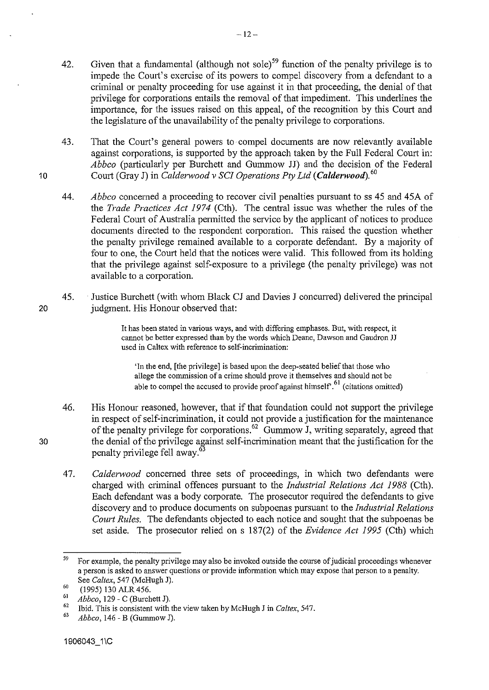- 42. Given that a fundamental (although not sole)<sup>59</sup> function of the penalty privilege is to impede the Court's exercise of its powers to compel discovery from a defendant to a criminal or penalty proceeding for use against it in that proceeding, the denial of that privilege for corporations entails the removal of that impediment. This underlines the importance, for the issues raised on this appeal, of the recognition by this Court and the legislature of the unavailability of the penalty privilege to corporations.
- 43. That the Court's general powers to compel documents are now relevantly available against corporations, is supported by the approach taken by the Full Federal Court in: *Abbco* (particularly per Burchett and Gummow JJ) and the decision of the Federal Court (Gray J) in *Calderwood v SCI Operations Pty Ltd (Calderwood).* <sup>60</sup>
- 44. *Abbco* concerned a proceeding to recover civil penalties pursuant to ss 45 and 45A of the *Trade Practices Act 1974* (Cth). The central issue was whether the rules of the Federal Court of Australia permitted the service by the applicant of notices to produce documents directed to the respondent corporation. This raised the question whether the penalty privilege remained available to a corporate defendant. By a majority of four to one, the Court held that the notices were valid. This followed from its holding that the privilege against self-exposure to a privilege (the penalty privilege) was not available to a corporation.
- 45. · Justice Burchett (with whom Black CJ and Davies J concurred) delivered the principal 20 **judgment**. His Honour observed that:

It has been stated in various ways, and with differing emphases. But, with respect, it cannot be better expressed than by the words which Deane, Dawson and Gaudron JJ **used in Caltex with reference to self-incrimination:** 

'In the end, [the privilege] is based upon the deep-seated belief that those who allege the commission of a crime should prove it themselves and should not be able to compel the accused to provide proof against himself.<sup> $61$ </sup> (citations omitted)

- 46. His Honour reasoned, however, that if that foundation could not support the privilege in respect of self-incrimination, it could not provide a justification for the maintenance of the penalty privilege for corporations.<sup>62</sup> Gummow J, writing separately, agreed that the denial of the privilege against self-incrimination meant that the justification for the penalty privilege fell away. 63
- 47. *Calderwood* concerned three sets of proceedings, in which two defendants were charged with criminal offences pursuant to the *Industrial Relations Act 1988* (Cth). Each defendant was a body corporate. The prosecutor required the defendants to give discovery and to produce docmnents on subpoenas pursuant to the *Industrial Relations Court Rules.* The defendants objected to each notice and sought that the subpoenas be set aside. The prosecutor relied on s 187(2) of the *Evidence Act 1995* (Cth) which

30

<sup>&</sup>lt;sup>59</sup> For example, the penalty privilege may also be invoked outside the course of judicial proceedings whenever a person is asked to answer questions or provide information which may expose that person to a penalty. See *Caltex*, 547 (McHugh J).

 $^{60}$  (1995) 130 ALR 456.

<sup>61</sup>*Abbco,* 129- *<sup>C</sup>*(Burchett J). 62 Ibid. This is consistent with the view taken by McHugh J in *Caltex,* 547. 63 *Abbco,* 146- B (Gummow J).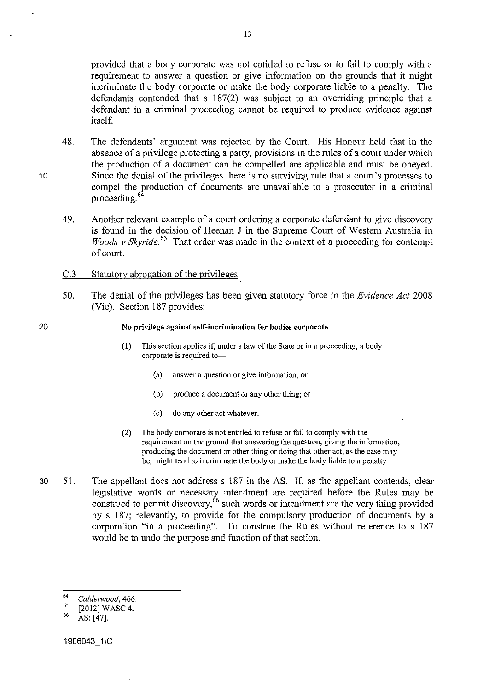provided that a body corporate was not entitled to refuse or to fail to comply with a requirement to auswer a question or give information on the grounds that it might incriminate the body corporate or make the body corporate liable to a penalty. The defendauts contended that s 187(2) was subject to an overriding principle that a defendant in a criminal proceeding cannot be required to produce evidence against itself.

48. The defendants' argument was rejected by the Court. His Honour held that in the absence of a privilege protecting a party, provisions in the rules of a court under which the production of a document can be compelled are applicable aud must be obeyed. Since the denial of the privileges there is no surviving rule that a court's processes to compel the production of documents are unavailable to a prosecutor in a criminal proceeding. 6

- 49. Another relevant example of a court ordering a corporate defendant to give discovery is found in the decision of Heenan J in the Supreme Court of Western Australia in *Woods v Skyride.*<sup>65</sup> That order was made in the context of a proceeding for contempt of court.
- C.3 Statutory abrogation of the privileges
- 50. The denial of the privileges has been given statutory force in the *Evidence Act* 2008 (Vic). Section 187 provides:

#### No privilege against self-incrimination for bodies corporate

- (I) This section applies if, under a law of the State or in a proceeding, a body **corporate is required to-**
	- (a) **answer a question or give information; or**
	- (b) produce a document or any other thing; or
	- (c) do any other act whatever.
- (2) The body corporate is not entitled to refuse or fail to comply with the **requirement on the ground that answering the question, giving the information,**  producing the document or other thing or doing that other act, as the case may be, might tend to incriminate the body or make the body liable to a penalty
- 30 51. The appellant does not address s 187 in the AS. If, as the appellant contends, clear legislative words or necessary intendment are required before the Rules may be construed to permit discovery,<sup>66</sup> such words or intendment are the very thing provided by s 187; relevantly, to provide for the compulsory production of documents by a corporation "in a proceeding". To construe the Rules without reference to s 187 would be to undo the purpose and function of that section.

<sup>64</sup>*Caldenvood,* 466.

<sup>65</sup>   $^{65}$  [2012] WASC 4.<br><sup>66</sup> AS: [47].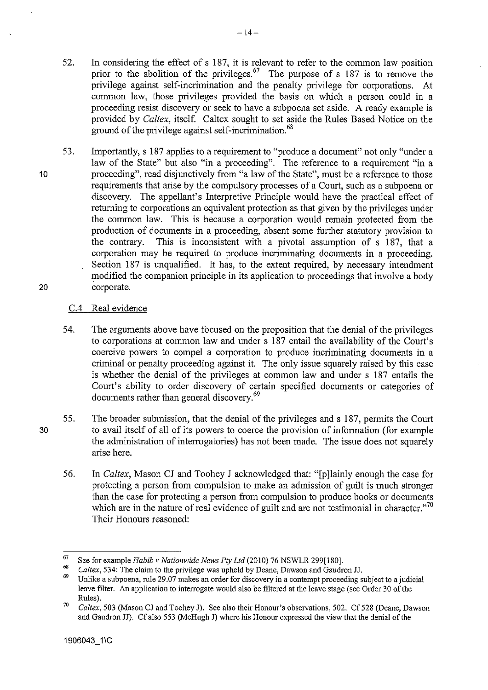- 52. In considering the effect of s 187, it is relevant to refer to the common law position prior to the abolition of the privileges.<sup>67</sup> The purpose of s 187 is to remove the privilege against self-incrimination and the penalty privilege for corporations. At common law, those privileges provided the basis on which a person could in a proceeding resist discovery or seek to have a subpoena set aside. A ready example is provided by *Caltex,* itself. Caltex sought to set aside the Rules Based Notice on the ground of the privilege against self-incrimination.<sup>68</sup>
- 20 53. Importantly, s 187 applies to a requirement to "produce a document" not only "under a law of the State" but also "in a proceeding". The reference to a requirement "in a proceeding", read disjunctively from "a law of the State", must be a reference to those requirements that arise by the compulsory processes of a Court, such as a subpoena or discovery. The appellant's Interpretive Principle would have the practical effect of returning to corporations an equivalent protection as that given by the privileges under the common law. This is because a corporation would remain protected from the production of documents in a proceeding, absent some further statutory provision to the contrary. This is inconsistent with a pivotal assumption of s 187, that a corporation may be required to produce incriminating documents in a proceeding. Section 187 is unqualified. It has, to the extent required, by necessary intendment modified the companion principle in its application to proceedings that involve a body corporate.

#### C.4 Real evidence

- 54. The arguments above have focused on the proposition that the denial of the privileges to corporations at common law and under s 187 entail the availability of the Court's coercive powers to compel a corporation to produce incriminating documents in a criminal or penalty proceeding against it. The only issue squarely raised by this case is whether the denial of the privileges at common law and under s 187 entails the Court's ability to order discovery of certain specified documents or categories of documents rather than general discovery.<sup>69</sup>
- 55. The broader submission, that the denial of the privileges and s 187, permits the Court to avail itself of all of its powers to coerce the provision of infonnation (for example the administration of interrogatories) has not been made. The issue does not squarely arise here.
	- 56. In *Caltex,* Mason CJ and Toohey J acknowledged that: "[p ]lainly enough the case for protecting a person from compulsion to make an admission of guilt is much stronger than the case for protecting a person from compulsion to produce books or documents which are in the nature of real evidence of guilt and are not testimonial in character."<sup>70</sup> Their Honours reasoned:



<sup>67</sup>  See for example *Habib v Nationwide News Pty Ltd* (2010) 76 NSWLR 299[180].

<sup>68</sup>  *Caltex,* 534: The claim to the privilege was upheld by Deane, Dawson and Gaudron JJ.

<sup>&</sup>lt;sup>69</sup> Unlike a subpoena, rule 29.07 makes an order for discovery in a contempt proceeding subject to a judicial leave filter. An application to interrogate would also be filtered at the leave stage (see Order 30 of the Rules). 70 *Caltex,* 503 (Mason CJ and Toohey J). See also their Honour's observations, 502. Cf 528 (Deane, Dawson

and Gaudron JJ). Cf also 553 (McHugh J) where his Honour expressed the view that the denial of the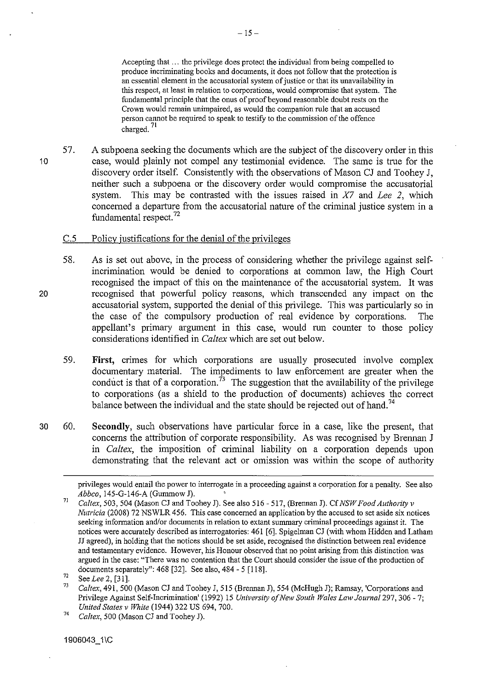Accepting that ... the privilege does protect the individual from being compeiied to produce incriminating books and documents, it does not foil ow that the protection is **an essential element in the accusatorial system of justice or that its unavailability in this respect, at least in relation to corporations, would compromise that system. The**  fundamental principle that the onus of proof beyond reasonable doubt rests on the **Crown would remain unimpaired, as would the companion rule that an accused**  person cannot be required to speak to testify to the commission of the offence 71 charged.

57. A subpoena seeking the documents which are the subject of the discovery order in this case, would plainly not compel any testimonial evidence. The same is true for the discovery order itself. Consistently with the observations of Mason CJ and Toohey J, neither such a subpoena or the discovery order would compromise the accusatorial system. This may be contrasted with the issues raised in *X7* and *Lee 2,* which concerned a departure from the accusatorial nature of the criminal justice system in a fundamental respect. 72

#### C.5 Policy justifications for the denial of the privileges

- 58. As is set out above, in the process of considering whether the privilege against selfincrimination would be denied to corporations at common law, the High Court recognised the impact of this on the maintenance of the accusatorial system. It was recognised that powerful policy reasons, which transcended any impact on the accusatorial system, supported the denial of this privilege. This was particularly so in the case of the compulsory production of real evidence by corporations. The appellant's primary argument in this case, would run counter to those policy considerations identified in *Caltex* which are set out below.
	- 59. **First,** crimes for which corporations are usually prosecuted involve complex documentary material. The impediments to law enforcement are greater when the conduct is that of a corporation.<sup>73</sup> The suggestion that the availability of the privilege to corporations (as a shield to the production of documents) achieves the correct balance between the individual and the state should be rejected out of hand.<sup>74</sup>
- 30 60. **Secondly,** such observations have particular force in a case, like the present, that concerns the attribution of corporate responsibility. As was recognised by Brennan J in *Caltex,* the imposition of criminal liability on a corporation depends upon demonstrating that the relevant act or omission was within the scope of authority

20

privileges would entail the power to interrogate in a proceeding against a corporation for a penalty. See also *Abbco,* 145-G-146-A (Gummow J).

<sup>7</sup>l *Caltex,* 503, 504 (Mason CJ and Toohey J). See also 516- 517, (Brennan J). Cf *NSW Food Authority v Nutricia* (2008) 72 NSWLR 456. This case concerned an application by the accused to set aside six notices **seeking information and/or documents in relation to extant summary criminal proceedings against it. The**  notices were accurately described as interrogatories: 461 [6]. Spigelman CJ (with whom Hidden and Latham JJ agreed), in holding that the notices should be set aside, recognised the distinction between real evidence **and testamentary evidence. However, his Honour observed that no point arising from this distinction was**  argued in the case: "There was no contention that the Court should consider the issue of the production of documents separately":  $468$  [32]. See also,  $484 - 5$  [118].

<sup>72</sup>  See *Lee* 2, [31].

<sup>73</sup>  *Caltex,* 491, 500 (Mason CJ and Toohey J, 515 (Brennan J), 554 (McHugh J); Ramsay, 'Corporations and Privilege Against Self-Incrimination' (1992) 15 *University of New South Wales Law Journa/297,* 306- 7; *United States v White* (1944) 322 US 694, 700.

<sup>74</sup>  *Caltex,* 500 (Mason CJ and Toohey J).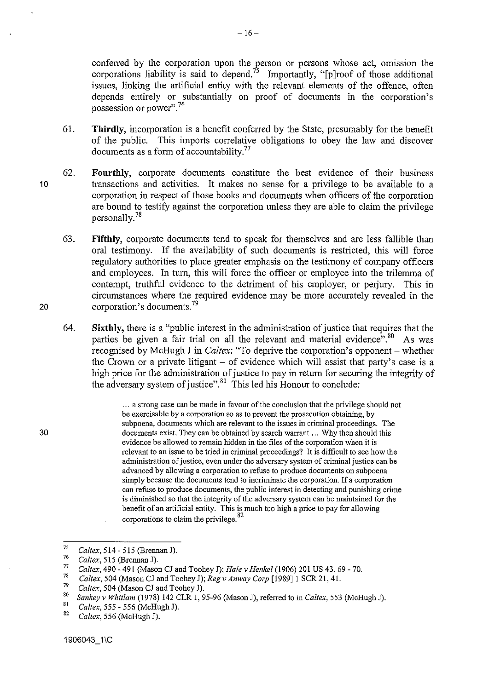conferred by the corporation upon the person or persons whose act, omission the corporations liability is said to depend.<sup>75</sup> Importantly, "[p]roof of those additional issues, linking the artificial entity with the relevant elements of the offence, often depends entirely or substantially on proof of documents in the corporation's possession or power". 76

61. **Thirdly,** incorporation is a benefit confened by the State, presumably for the benefit of the public. This imports conelative obligations to obey the law and discover documents as a form of accountability. 77

 $-16-$ 

- 62. **Fourthly,** corporate documents constitute the best evidence of their business transactions and activities. It makes no sense for a privilege to be available to a corporation in respect of those books and documents when officers of the corporation are bound to testify against the corporation unless they are able to claim the privilege personally. 78
	- 63. **Fifthly,** corporate documents tend to speak for themselves and are less fallible than oral testimony. If the availability of such documents is restricted, this will force regulatory authorities to place greater emphasis on the testimony of company officers and employees. In tum, this will force the officer or employee into the trilemma of contempt, truthful evidence to the detriment of his employer, or perjury. This in circumstances where the required evidence may be more accurately revealed in the corporation's documents.<sup>79</sup>
	- 64. **Sixthly,** there is a "public interest in the administration of justice that requires that the parties be given a fair trial on all the relevant and material evidence"<sup>5</sup>.<sup>80</sup> As was recognised by McHugh J in *Caltex:* "To deprive the corporation's opponent- whether the Crown or a private litigant  $-$  of evidence which will assist that party's case is a high price for the administration of justice to pay in return for securing the integrity of the adversary system of justice".<sup>81</sup> This led his Honour to conclude:

... a strong case can be made in favour of the conclusion that the privilege should not be exercisable by a corporation so as to prevent the prosecution obtaining, by **subpoena, documents which are relevant to the issues in criminal proceedings. The**  documents exist. They can be obtained by search warrant ... Why then should this evidence be allowed to remain hidden in the files of the corporation when it is relevant to an issue to be tried in criminal proceedings? It is difficult to see how the **administration of justice, even under the adversary system of criminal justice can be**  advanced by allowing a corporation to refuse to produce documents on subpoena simply because the documents tend to incriminate the corporation. If a corporation can refuse to produce documents, the public interest in detecting and punishing crime is diminished so that the integrity of the adversary system can be maintained for the benefit of an artificial entity. This is much too high a price to pay for allowing corporations to claim the privilege.<sup>82</sup>

75 *Caltex,* 514- 515 (Brennan J).

30

<sup>76</sup>  *Ca/tex,* 515 (Brennan J).

<sup>77</sup>  *Caltex,* 490-491 (Mason CJ and Toohey J); *Hale v Henkel* (1906) 201 US 43, 69 -70.

<sup>78</sup>  *Caltex, 504 (Mason CJ and Toohey J); Reg v Anway Corp [1989]* 1 SCR 21, 41.

<sup>79</sup> 

<sup>&</sup>lt;sup>79</sup> Caltex, 504 (Mason CJ and Toohey J).<br><sup>80</sup> *Sankey v Whitlam* (1978) 142 CLR 1, 95-96 (Mason J), referred to in *Caltex*, 553 (McHugh J).<br><sup>81</sup> *C*-line 555, 556 (McHugh D).

<sup>&</sup>lt;sup>81</sup> Caltex, 555 - 556 (McHugh J).<br><sup>82</sup> Caltex, 556 (McHugh J).

<sup>82</sup>*Caltex,* 556 (McHugh J).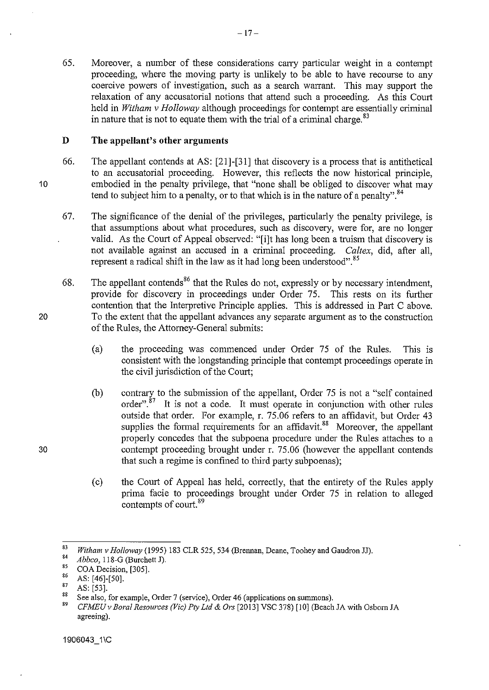65. Moreover, a number of these considerations carry particular weight in a contempt proceeding, where the moving party is unlikely to be able to have recourse to any coercive powers of investigation, such as a search warrant. This may support the relaxation of any accusatorial notions that attend such a proceeding. As this Court held in *Witham* v *Holloway* although proceedings for contempt are essentially criminal in nature that is not to equate them with the trial of a criminal charge.  $83$ 

#### **D The appellant's other arguments**

- 66. The appellant contends at AS: [21]-[31] that discovery is a process that is antithetical to an accusatorial proceeding. However, this reflects the now historical principle. embodied in the penalty privilege, that "none shall be obliged to discover what may tend to subject him to a penalty, or to that which is in the nature of a penalty".<sup>84</sup>
- 67. The significance of the denial of the privileges, particularly the penalty privilege, is that assumptions about what procedures, such as discovery, were for, are no longer valid. As the Court of Appeal observed: "[i]t has long been a truism that discovery is not available against an accused in a criminal proceeding. *Caltex,* did, after all, represent a radical shift in the law as it had long been understood".<sup>85</sup>
- 68. The appellant contends<sup>86</sup> that the Rules do not, expressly or by necessary intendment, provide for discovery in proceedings under Order 75. This rests on its further contention that the Interpretive Principle applies. This is addressed in Part C above. To the extent that the appellant advances any separate argument as to the construction of the Rules, the Attomey-General submits:
	- (a) the proceeding was commenced under Order 75 of the Rules. This is consistent with the longstanding principle that contempt proceedings operate in the civil jurisdiction of the Court;
	- (b) contrary to the submission of the appellant, Order 75 is not a "self contained order". $87$  It is not a code. It must operate in conjunction with other rules outside that order. For example, r. 75.06 refers to an affidavit, but Order 43 supplies the formal requirements for an affidavit.<sup>88</sup> Moreover, the appellant properly concedes that the subpoena procedure under the Rules attaches to a contempt proceeding brought under r. 75.06 (however the appellant contends that such a regime is confined to third party subpoenas);
	- (c) the Court of Appeal has held, correctly, that the entirety of the Rules apply prima facie to proceedings brought under Order 75 in relation to alleged contempts of court. 89

10

20

<sup>83</sup>*Witham v Holloway* (1995) 183 CLR 525, 534 (Brennan, Deane, Toohey and Gaudron JJ).

<sup>84</sup>*Abbco,* 118-G (Burchett J).

 $^{85}$  COA Decision, [305].

 $^{86}$  AS: [46]-[50].

 $88 \text{ AS.} [53]$ .

<sup>&</sup>lt;sup>88</sup> See also, for example, Order 7 (service), Order 46 (applications on summons).<br><sup>89</sup> *CFMEU v Boral Resources (Vic) Pty Ltd & Ors* [2013] VSC 378) [10] (Beach JA with Osborn JA agreeing).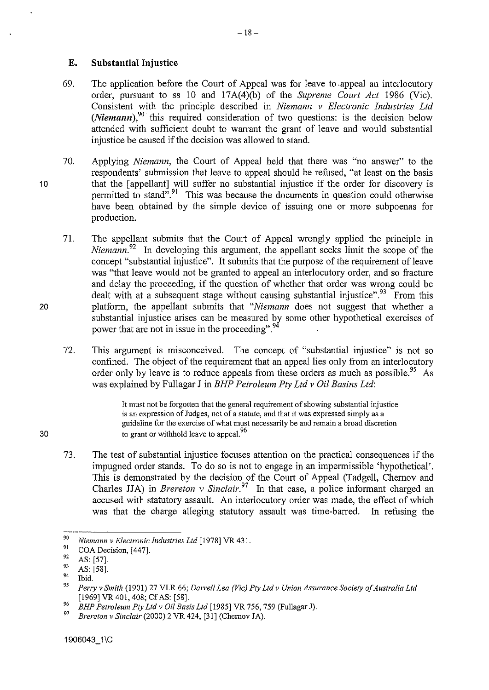#### **E. Substantial Injustice**

- 69. The application before the Court of Appeal was for leave to .appeal an interlocutory order, pursuant to ss 10 and 17A(4)(b) of the *Supreme Court Act* 1986 (Vic). Consistent with the principle described in *Niemann v Electronic Industries Ltd*   $(Niemann)$ ,<sup>90</sup> this required consideration of two questions: is the decision below attended with sufficient doubt to warrant the grant of leave and would substantial injustice be caused if the decision was allowed to stand.
- 70. Applying *Niemann,* the Court of Appeal held that there was "no answer" to the respondents' submission that leave to appeal should be refused, "at least on the basis that the [appellant] will suffer no substantial injustice if the order for discovery is permitted to stand".<sup>91</sup> This was because the documents in question could otherwise have been obtained by the simple device of issuing one or more subpoenas for production.
	- 71. The appellant submits that the Court of Appeal wrongly applied the principle in *Niemann*<sup>92</sup> In developing this argument, the appellant seeks limit the scope of the concept "substantial injustice". It submits that the purpose of the requirement of leave was "that leave would not be granted to appeal an interlocutory order, and so fracture and delay the proceeding, if the question of whether that order was wrong could be dealt with at a subsequent stage without causing substantial injustice".<sup>93</sup> From this platform, the appellant submits that *"Niemann* does not suggest that whether a substantial injustice arises can be measured by some other hypothetical exercises of power that are not in issue in the proceeding". <sup>94</sup>
	- 72. This argument is misconceived. The concept of "substantial injustice" is not so confined. The object of the requirement that an appeal lies only from an interlocutory order only by leave is to reduce appeals from these orders as much as possible.<sup>95</sup> As was explained by Fullagar J in *BHP Petroleum Pty Ltd v Oil Basins Ltd:*

It must not be forgotten that the general requirement of showing substantial injustice is an expression of Judges, not of a statute, and that it was expressed simply as a **guideline for the exercise of what must necessarily be and remain a broad discretion**  to grant or withhold leave to appeal.<sup>96</sup>

73. The test of substantial injustice focuses attention on the practical consequences if the impugned order stands. To do so is not to engage in an impermissible 'hypothetical'. This is demonstrated by the decision of the Court of Appeal (Tadgell, Chemov and Charles JJA) in *Brereton v Sinclair*.<sup>97</sup> In that case, a police informant charged an accused with statutory assault. An interlocutory order was made, the effect of which was that the charge alleging statutory assault was time-barred. In refusing the

<sup>90</sup>*Niemann v Electronic Industries Ltd* [1978] VR 431.

<sup>91</sup> COA Decision, [447].<br>
92 AS: [57].<br>
93 AS: [58].<br>
94 Ibid.<br> *95 Perry v Smith* (1901) 27 VLR 66; *Darrell Lea (Vic) Pty Ltd v Union Assurance Society of Australia Ltd* [1969] VR 401, 408; Cf AS: [58].

<sup>96</sup>*BHP Petroleum Pty Ltd v Oil Basis Ltd* [1985] VR 756, 759 (Fullagar J).

<sup>97</sup>*Brereton v Sinclair* (2000) 2 VR 424, [31] (Chernov JA).